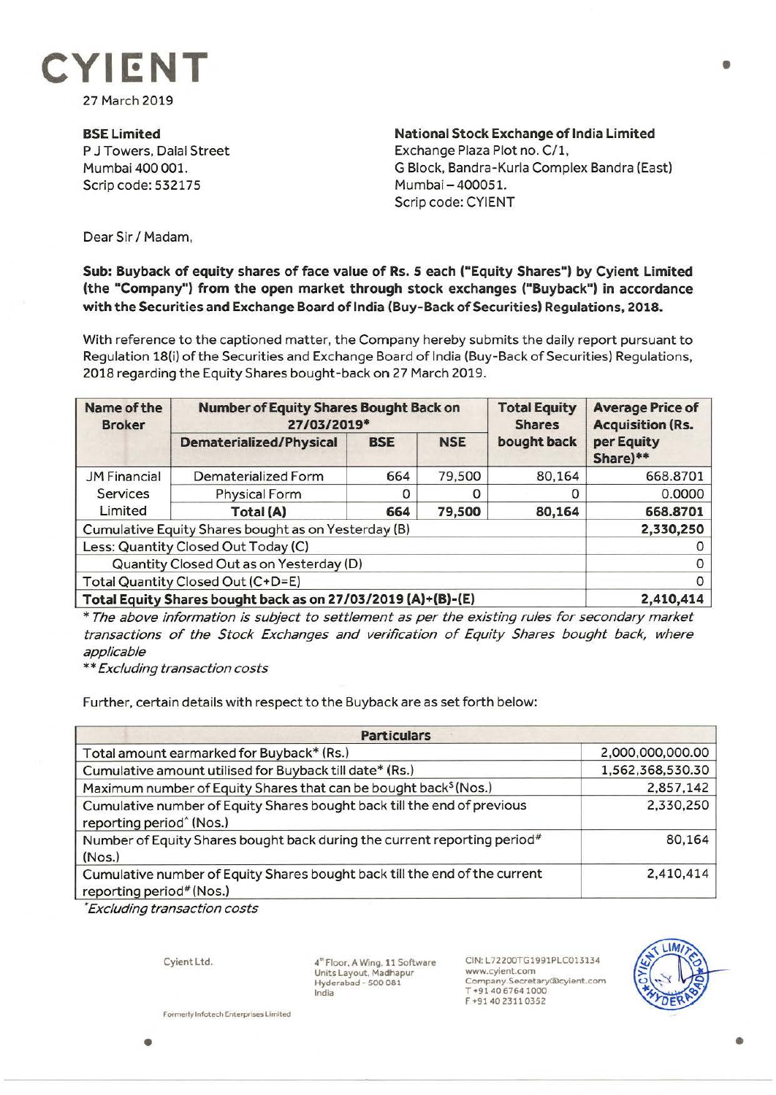

27 March 2019

**BSE Limited**  P J Towers, Dalal Street Mumbai 400 001. Scrip code: 532175

**National Stock Exchange of India Limited**  Exchange Plaza Plot no. C/1, G Block, Bandra-Kurla Complex Bandra (East) Mumbai-400051. Scrip code: CYIENT

Dear Sir *I* Madam,

## **Sub: Buyback of equity shares of face value of Rs. 5 each ("Equity Shares") by Cyient Limited (the "Company") from the open market through stock exchanges ("Buyback") in accordance with the Securities and Exchange Board of India (Buy-Back of Securities) Regulations, 2018.**

With reference to the captioned matter, the Company hereby submits the daily report pursuant to Regulation 18(i) of the Securities and Exchange Board of India (Buy-Back of Securities) Regulations, 2018 regarding the Equity Shares bought-back on 27 March 2019.

| Name of the<br><b>Broker</b>                                 | <b>Number of Equity Shares Bought Back on</b><br>27/03/2019* |            |            | <b>Total Equity</b><br><b>Shares</b> | <b>Average Price of</b><br><b>Acquisition (Rs.</b> |
|--------------------------------------------------------------|--------------------------------------------------------------|------------|------------|--------------------------------------|----------------------------------------------------|
|                                                              | <b>Dematerialized/Physical</b>                               | <b>BSE</b> | <b>NSE</b> | bought back                          | per Equity<br>Share)**                             |
| <b>JM Financial</b><br>Services<br>Limited                   | Dematerialized Form                                          | 664        | 79,500     | 80,164                               | 668.8701                                           |
|                                                              | <b>Physical Form</b>                                         |            |            |                                      | 0.0000                                             |
|                                                              | Total (A)                                                    | 664        | 79,500     | 80,164                               | 668.8701                                           |
| Cumulative Equity Shares bought as on Yesterday (B)          |                                                              |            |            |                                      | 2,330,250                                          |
| Less: Quantity Closed Out Today (C)                          |                                                              |            |            |                                      |                                                    |
| Quantity Closed Out as on Yesterday (D)                      |                                                              |            |            |                                      |                                                    |
| Total Quantity Closed Out (C+D=E)                            |                                                              |            |            |                                      |                                                    |
| Total Equity Shares bought back as on 27/03/2019 (A)+(B)-(E) |                                                              |            |            |                                      | 2,410,414                                          |

\* The above information is subject to settlement as per the existing rules for secondary market transactions of the Stock Exchanges and verification of Equity Shares bought back, where applicable

\*\* Excluding transaction costs

Further, certain details with respect to the Buyback are as set forth below:

| <b>Particulars</b>                                                                                              |                  |  |  |  |
|-----------------------------------------------------------------------------------------------------------------|------------------|--|--|--|
| Total amount earmarked for Buyback* (Rs.)                                                                       | 2,000,000,000.00 |  |  |  |
| Cumulative amount utilised for Buyback till date* (Rs.)                                                         | 1,562,368,530.30 |  |  |  |
| Maximum number of Equity Shares that can be bought back <sup>§</sup> (Nos.)                                     | 2,857,142        |  |  |  |
| Cumulative number of Equity Shares bought back till the end of previous<br>reporting period <sup>^</sup> (Nos.) | 2,330,250        |  |  |  |
| Number of Equity Shares bought back during the current reporting period <sup>#</sup><br>(Nos.)                  | 80,164           |  |  |  |
| Cumulative number of Equity Shares bought back till the end of the current<br>reporting period# (Nos.)          | 2,410,414        |  |  |  |

• Excluding transaction costs

Cyient Ltd.

**Formerly Infotech Enterprises Limited** 

4"' Floor. A Wing, 11 Software Units Layout. Madhapur Hyderabad - 500 081 India

CIN:L72200TG1991PLC013134 www.cyient.com **Company.Secretary®cyient.com**  T +91 406764 1000 F +91 402311 0352



•